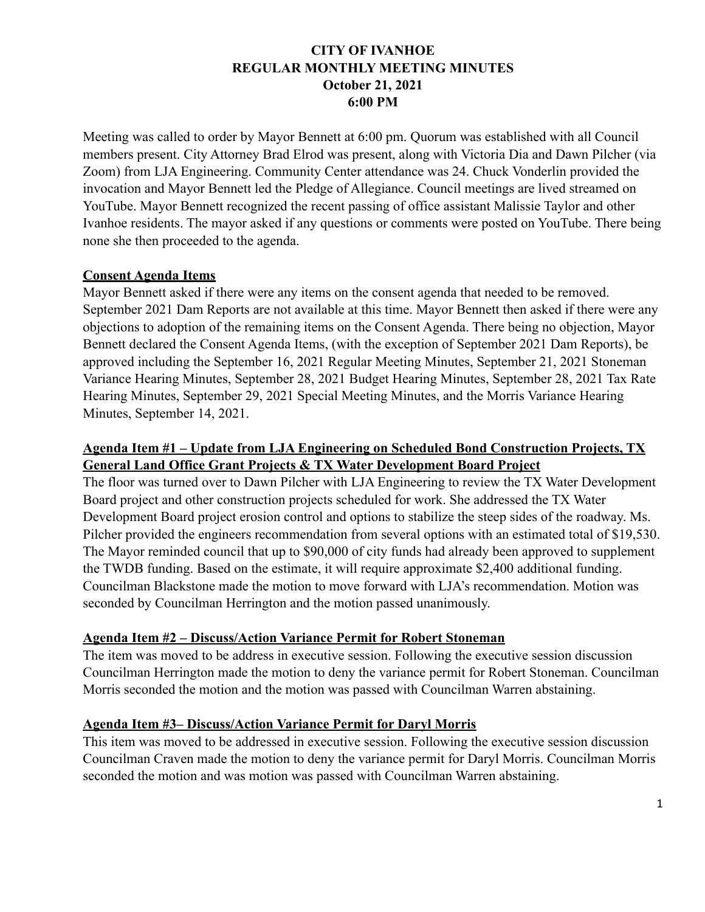## **CITY OF IVANHOE REGULAR MONTHLY MEETING MINUTES October 21, 2021 6:00 PM**

Meeting was called to order by Mayor Bennett at 6:00 pm. Quorum was established with all Council members present. City Attorney Brad Elrod was present, along with Victoria Dia and Dawn Pilcher (via Zoom) from LJA Engineering. Community Center attendance was 24. Chuck Vonderlin provided the invocation and Mayor Bennett led the Pledge of Allegiance. Council meetings are lived streamed on YouTube. Mayor Bennett recognized the recent passing of office assistant Malissie Taylor and other Ivanhoe residents. The mayor asked if any questions or comments were posted on YouTube. There being none she then proceeded to the agenda.

#### **Consent Agenda Items**

Mayor Bennett asked if there were any items on the consent agenda that needed to be removed. September 2021 Dam Reports are not available at this time. Mayor Bennett then asked if there were any objections to adoption of the remaining items on the Consent Agenda. There being no objection, Mayor Bennett declared the Consent Agenda Items, (with the exception of September 2021 Dam Reports), be approved including the September 16, 2021 Regular Meeting Minutes, September 21, 2021 Stoneman Variance Hearing Minutes, September 28, 2021 Budget Hearing Minutes, September 28, 2021 Tax Rate Hearing Minutes, September 29, 2021 Special Meeting Minutes, and the Morris Variance Hearing Minutes, September 14, 2021.

### **Agenda Item #1 – Update from LJA Engineering on Scheduled Bond Construction Projects, TX General Land Office Grant Projects & TX Water Development Board Project**

The floor was turned over to Dawn Pilcher with LJA Engineering to review the TX Water Development Board project and other construction projects scheduled for work. She addressed the TX Water Development Board project erosion control and options to stabilize the steep sides of the roadway. Ms. Pilcher provided the engineers recommendation from several options with an estimated total of \$19,530. The Mayor reminded council that up to \$90,000 of city funds had already been approved to supplement the TWDB funding. Based on the estimate, it will require approximate \$2,400 additional funding. Councilman Blackstone made the motion to move forward with LJA's recommendation. Motion was seconded by Councilman Herrington and the motion passed unanimously.

### **Agenda Item #2 – Discuss/Action Variance Permit for Robert Stoneman**

The item was moved to be address in executive session. Following the executive session discussion Councilman Herrington made the motion to deny the variance permit for Robert Stoneman. Councilman Morris seconded the motion and the motion was passed with Councilman Warren abstaining.

### **Agenda Item #3– Discuss/Action Variance Permit for Daryl Morris**

This item was moved to be addressed in executive session. Following the executive session discussion Councilman Craven made the motion to deny the variance permit for Daryl Morris. Councilman Morris seconded the motion and was motion was passed with Councilman Warren abstaining.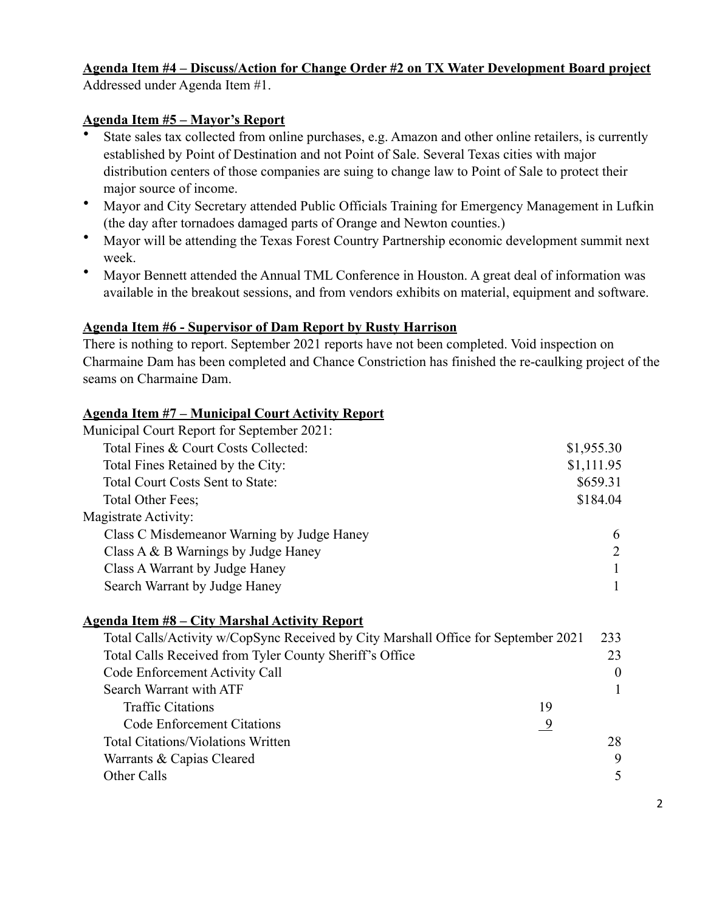# **Agenda Item #4 – Discuss/Action for Change Order #2 on TX Water Development Board project**

Addressed under Agenda Item #1.

# **Agenda Item #5 – Mayor's Report**

- State sales tax collected from online purchases, e.g. Amazon and other online retailers, is currently established by Point of Destination and not Point of Sale. Several Texas cities with major distribution centers of those companies are suing to change law to Point of Sale to protect their major source of income.
- Mayor and City Secretary attended Public Officials Training for Emergency Management in Lufkin (the day after tornadoes damaged parts of Orange and Newton counties.)
- Mayor will be attending the Texas Forest Country Partnership economic development summit next week.
- Mayor Bennett attended the Annual TML Conference in Houston. A great deal of information was available in the breakout sessions, and from vendors exhibits on material, equipment and software.

# **Agenda Item #6 - Supervisor of Dam Report by Rusty Harrison**

There is nothing to report. September 2021 reports have not been completed. Void inspection on Charmaine Dam has been completed and Chance Constriction has finished the re-caulking project of the seams on Charmaine Dam.

# **Agenda Item #7 – Municipal Court Activity Report**

| Municipal Court Report for September 2021: |            |
|--------------------------------------------|------------|
| Total Fines & Court Costs Collected:       | \$1,955.30 |
| Total Fines Retained by the City:          | \$1,111.95 |
| Total Court Costs Sent to State:           | \$659.31   |
| Total Other Fees;                          | \$184.04   |
| Magistrate Activity:                       |            |
| Class C Misdemeanor Warning by Judge Haney | 6          |
| Class $A \& B$ Warnings by Judge Haney     | 2          |
| Class A Warrant by Judge Haney             |            |
| Search Warrant by Judge Haney              |            |
|                                            |            |

## **Agenda Item #8 – City Marshal Activity Report**

| Total Calls/Activity w/CopSync Received by City Marshall Office for September 2021 |                                                         | 233      |          |
|------------------------------------------------------------------------------------|---------------------------------------------------------|----------|----------|
|                                                                                    | Total Calls Received from Tyler County Sheriff's Office |          | 23       |
|                                                                                    | Code Enforcement Activity Call                          |          | $\theta$ |
|                                                                                    | Search Warrant with ATF                                 |          |          |
|                                                                                    | <b>Traffic Citations</b>                                | 19       |          |
|                                                                                    | <b>Code Enforcement Citations</b>                       | <u>9</u> |          |
|                                                                                    | <b>Total Citations/Violations Written</b>               |          | 28       |
|                                                                                    | Warrants & Capias Cleared                               |          | 9        |
| Other Calls                                                                        |                                                         |          | 5        |
|                                                                                    |                                                         |          |          |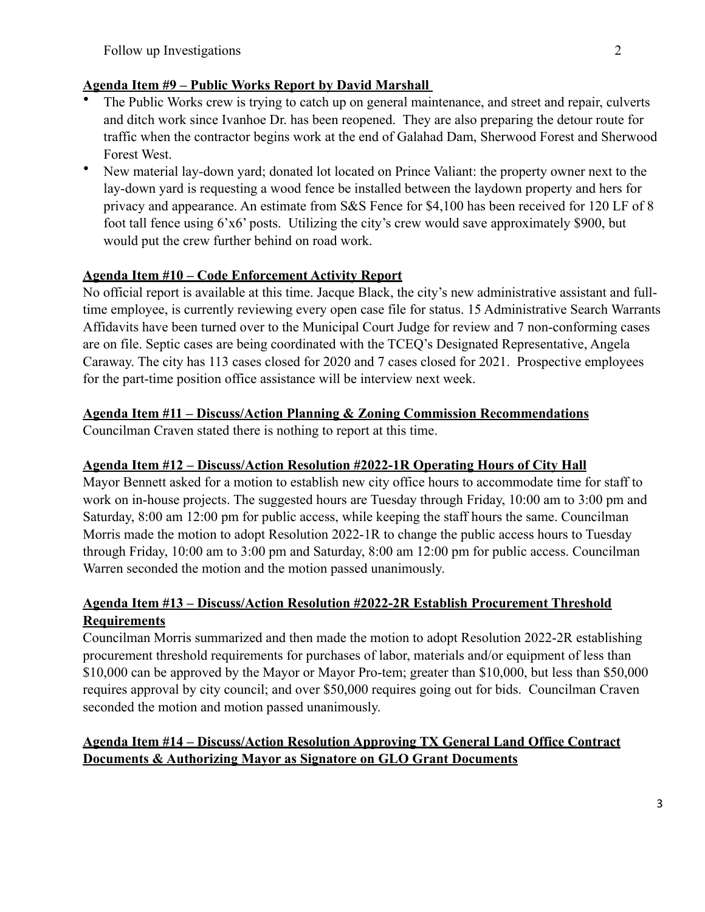## **Agenda Item #9 – Public Works Report by David Marshall**

- The Public Works crew is trying to catch up on general maintenance, and street and repair, culverts and ditch work since Ivanhoe Dr. has been reopened. They are also preparing the detour route for traffic when the contractor begins work at the end of Galahad Dam, Sherwood Forest and Sherwood Forest West.
- New material lay-down yard; donated lot located on Prince Valiant: the property owner next to the lay-down yard is requesting a wood fence be installed between the laydown property and hers for privacy and appearance. An estimate from S&S Fence for \$4,100 has been received for 120 LF of 8 foot tall fence using 6'x6' posts. Utilizing the city's crew would save approximately \$900, but would put the crew further behind on road work.

## **Agenda Item #10 – Code Enforcement Activity Report**

No official report is available at this time. Jacque Black, the city's new administrative assistant and fulltime employee, is currently reviewing every open case file for status. 15 Administrative Search Warrants Affidavits have been turned over to the Municipal Court Judge for review and 7 non-conforming cases are on file. Septic cases are being coordinated with the TCEQ's Designated Representative, Angela Caraway. The city has 113 cases closed for 2020 and 7 cases closed for 2021. Prospective employees for the part-time position office assistance will be interview next week.

# **Agenda Item #11 – Discuss/Action Planning & Zoning Commission Recommendations**

Councilman Craven stated there is nothing to report at this time.

# **Agenda Item #12 – Discuss/Action Resolution #2022-1R Operating Hours of City Hall**

Mayor Bennett asked for a motion to establish new city office hours to accommodate time for staff to work on in-house projects. The suggested hours are Tuesday through Friday, 10:00 am to 3:00 pm and Saturday, 8:00 am 12:00 pm for public access, while keeping the staff hours the same. Councilman Morris made the motion to adopt Resolution 2022-1R to change the public access hours to Tuesday through Friday, 10:00 am to 3:00 pm and Saturday, 8:00 am 12:00 pm for public access. Councilman Warren seconded the motion and the motion passed unanimously.

# **Agenda Item #13 – Discuss/Action Resolution #2022-2R Establish Procurement Threshold Requirements**

Councilman Morris summarized and then made the motion to adopt Resolution 2022-2R establishing procurement threshold requirements for purchases of labor, materials and/or equipment of less than \$10,000 can be approved by the Mayor or Mayor Pro-tem; greater than \$10,000, but less than \$50,000 requires approval by city council; and over \$50,000 requires going out for bids. Councilman Craven seconded the motion and motion passed unanimously.

# **Agenda Item #14 – Discuss/Action Resolution Approving TX General Land Office Contract Documents & Authorizing Mayor as Signatore on GLO Grant Documents**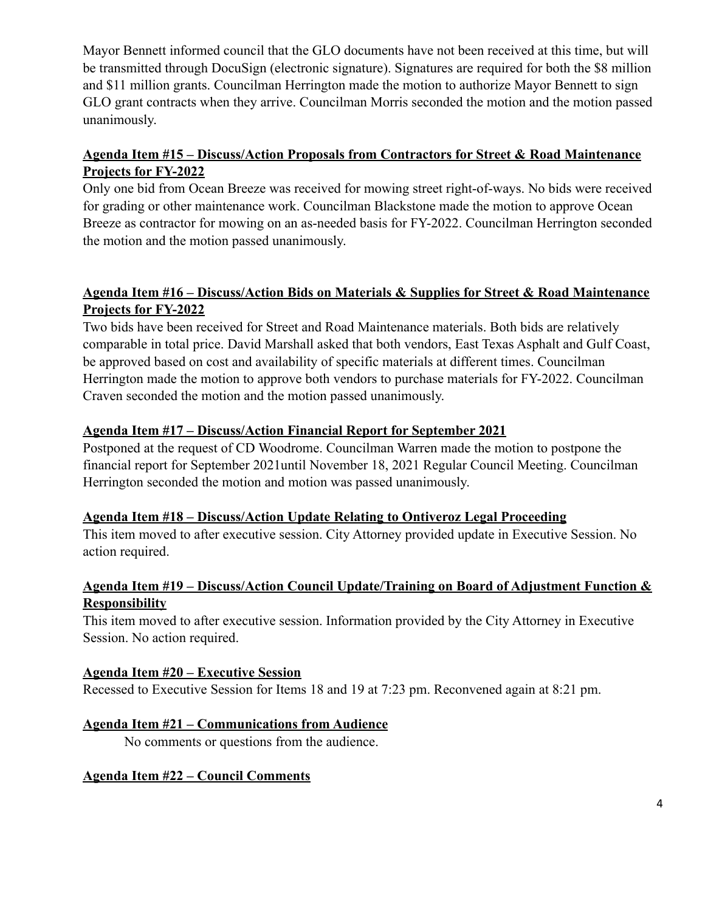Mayor Bennett informed council that the GLO documents have not been received at this time, but will be transmitted through DocuSign (electronic signature). Signatures are required for both the \$8 million and \$11 million grants. Councilman Herrington made the motion to authorize Mayor Bennett to sign GLO grant contracts when they arrive. Councilman Morris seconded the motion and the motion passed unanimously.

## **Agenda Item #15 – Discuss/Action Proposals from Contractors for Street & Road Maintenance Projects for FY-2022**

Only one bid from Ocean Breeze was received for mowing street right-of-ways. No bids were received for grading or other maintenance work. Councilman Blackstone made the motion to approve Ocean Breeze as contractor for mowing on an as-needed basis for FY-2022. Councilman Herrington seconded the motion and the motion passed unanimously.

## **Agenda Item #16 – Discuss/Action Bids on Materials & Supplies for Street & Road Maintenance Projects for FY-2022**

Two bids have been received for Street and Road Maintenance materials. Both bids are relatively comparable in total price. David Marshall asked that both vendors, East Texas Asphalt and Gulf Coast, be approved based on cost and availability of specific materials at different times. Councilman Herrington made the motion to approve both vendors to purchase materials for FY-2022. Councilman Craven seconded the motion and the motion passed unanimously.

### **Agenda Item #17 – Discuss/Action Financial Report for September 2021**

Postponed at the request of CD Woodrome. Councilman Warren made the motion to postpone the financial report for September 2021until November 18, 2021 Regular Council Meeting. Councilman Herrington seconded the motion and motion was passed unanimously.

## **Agenda Item #18 – Discuss/Action Update Relating to Ontiveroz Legal Proceeding**

This item moved to after executive session. City Attorney provided update in Executive Session. No action required.

## **Agenda Item #19 – Discuss/Action Council Update/Training on Board of Adjustment Function & Responsibility**

This item moved to after executive session. Information provided by the City Attorney in Executive Session. No action required.

### **Agenda Item #20 – Executive Session**

Recessed to Executive Session for Items 18 and 19 at 7:23 pm. Reconvened again at 8:21 pm.

## **Agenda Item #21 – Communications from Audience**

No comments or questions from the audience.

### **Agenda Item #22 – Council Comments**